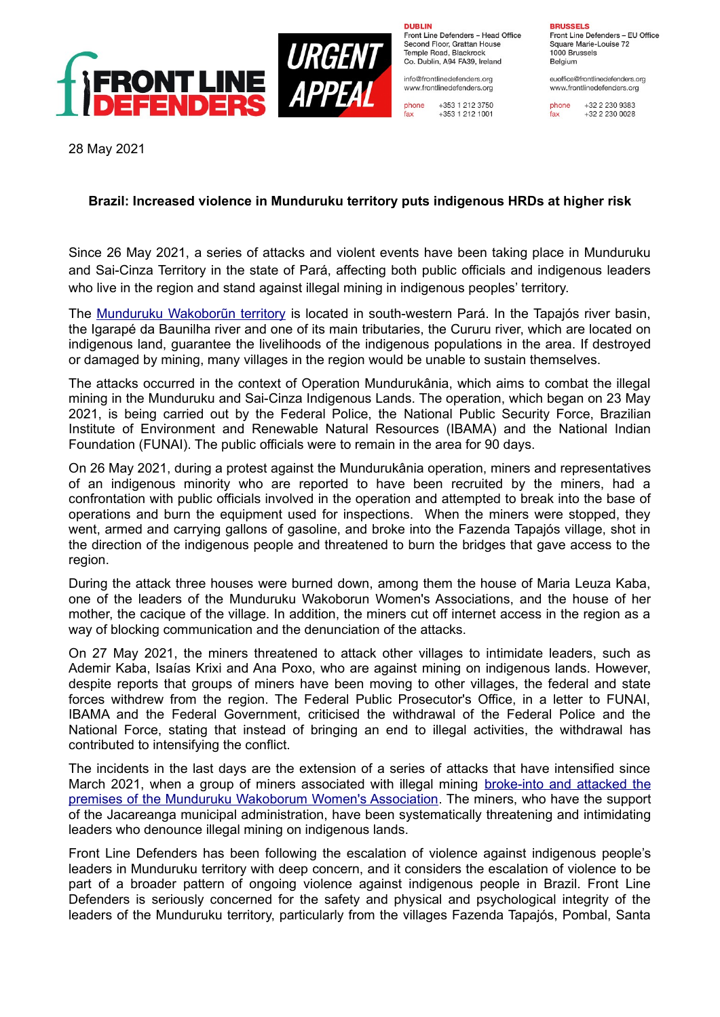

**DURLIN** Front Line Defenders - Head Office Second Floor, Grattan House Temple Boad, Blackrock Co. Dublin, A94 FA39, Ireland

info@frontlinedefenders.org www.frontlinedefenders.org

+353 1 212 3750 phone fax +353 1 212 1001 **BDHCCELC** Front Line Defenders - EU Office

Square Marie-Louise 72 1000 Brussels Belgium

euoffice@frontlinedefenders.org www.frontlinedefenders.org

+32 2 230 9383 fax +32 2 230 0028

28 May 2021

## **Brazil: Increased violence in Munduruku territory puts indigenous HRDs at higher risk**

Since 26 May 2021, a series of attacks and violent events have been taking place in Munduruku and Sai-Cinza Territory in the state of Pará, affecting both public officials and indigenous leaders who live in the region and stand against illegal mining in indigenous peoples' territory.

The [Munduruku Wakoborũn territory](https://www.frontlinedefenders.org/en/organization/munduruku-wakoborun-womens-association) is located in south-western Pará. In the Tapajós river basin, the Igarapé da Baunilha river and one of its main tributaries, the Cururu river, which are located on indigenous land, guarantee the livelihoods of the indigenous populations in the area. If destroyed or damaged by mining, many villages in the region would be unable to sustain themselves.

The attacks occurred in the context of Operation Mundurukânia, which aims to combat the illegal mining in the Munduruku and Sai-Cinza Indigenous Lands. The operation, which began on 23 May 2021, is being carried out by the Federal Police, the National Public Security Force, Brazilian Institute of Environment and Renewable Natural Resources (IBAMA) and the National Indian Foundation (FUNAI). The public officials were to remain in the area for 90 days.

On 26 May 2021, during a protest against the Mundurukânia operation, miners and representatives of an indigenous minority who are reported to have been recruited by the miners, had a confrontation with public officials involved in the operation and attempted to break into the base of operations and burn the equipment used for inspections. When the miners were stopped, they went, armed and carrying gallons of gasoline, and broke into the Fazenda Tapajós village, shot in the direction of the indigenous people and threatened to burn the bridges that gave access to the region.

During the attack three houses were burned down, among them the house of Maria Leuza Kaba, one of the leaders of the Munduruku Wakoborun Women's Associations, and the house of her mother, the cacique of the village. In addition, the miners cut off internet access in the region as a way of blocking communication and the denunciation of the attacks.

On 27 May 2021, the miners threatened to attack other villages to intimidate leaders, such as Ademir Kaba, Isaías Krixi and Ana Poxo, who are against mining on indigenous lands. However, despite reports that groups of miners have been moving to other villages, the federal and state forces withdrew from the region. The Federal Public Prosecutor's Office, in a letter to FUNAI, IBAMA and the Federal Government, criticised the withdrawal of the Federal Police and the National Force, stating that instead of bringing an end to illegal activities, the withdrawal has contributed to intensifying the conflict.

The incidents in the last days are the extension of a series of attacks that have intensified since March 2021, when a group of miners associated with illegal mining [broke-into and attacked the](https://www.frontlinedefenders.org/en/case/munduruku-wakoborun-indigenous-womens-association-broken-and-property-vandalised) premises of the Munduruku Wakoborum Women's Association. The miners, who have the support of the Jacareanga municipal administration, have been systematically threatening and intimidating leaders who denounce illegal mining on indigenous lands.

Front Line Defenders has been following the escalation of violence against indigenous people's leaders in Munduruku territory with deep concern, and it considers the escalation of violence to be part of a broader pattern of ongoing violence against indigenous people in Brazil. Front Line Defenders is seriously concerned for the safety and physical and psychological integrity of the leaders of the Munduruku territory, particularly from the villages Fazenda Tapajós, Pombal, Santa